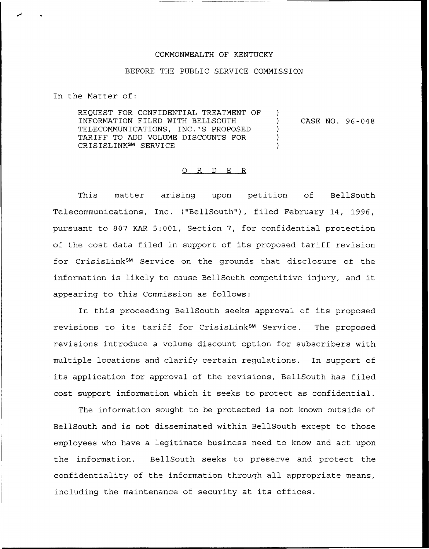## COMMONWEALTH OF KENTUCKY

## BEFORE THE PUBLIC SERVICE COMMISSION

In the Matter of:

REQUEST FOR CONFIDENTIAL TREATMENT OF INFORMATION FILED WITH BELLSOUTH TELECOMMUNICATIONS, INC.'S PROPOSED TARIFF TO ADD VOLUME DISCOUNTS FOR CRISISLINKsM SERVICE  $\left( \right)$ ) CASE NO. 96-048 )  $\lambda$ )

## 0 R <sup>D</sup> E R

This matter arising upon petition of BellSout Telecommunications, Inc. ("BellSouth"), filed February 14, 1996, pursuant to 807 KAR 5:001, Section 7, for confidential protection of the cost data filed in support of its proposed tariff revision for CrisisLink Service on the grounds that disclosure of the information is likely to cause BellSouth competitive injury, and it appearing to this Commission as follows:

In this proceeding BellSouth seeks approval of its proposed revisions to its tariff for CrisisLink<sup>SM</sup> Service. The proposed revisions introduce a volume discount option for subscribers with multiple locations and clarify certain regulations. In support of its application for approval of the revisions, BellSouth has filed cost support information which it seeks to protect as confidential.

The information sought to be protected is not known outside of BellSouth and is not disseminated within BellSouth except to those employees who have a legitimate business need to know and act upon the information. BellSouth seeks to preserve and protect the confidentiality of the information through all appropriate means, including the maintenance of security at its offices.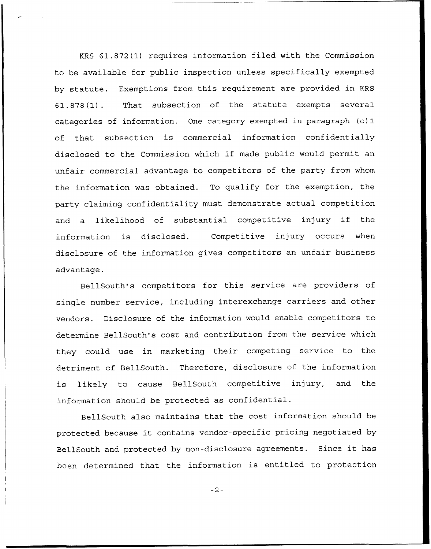KRS 61.872(1) requires information filed with the Commission to be available for public inspection unless specifically exempted by statute. Exemptions from this requirement are provided in KRS 61.878(1). That subsection of the statute exempts several categories of information. One category exempted in paragraph (c) 1 of that subsection is commercial information confidentially disclosed to the Commission which if made public would permit an unfair commercial advantage to competitors of the party from whom the information was obtained. To qualify for the exemption, the party claiming confidentiality must demonstrate actual competition and <sup>a</sup> likelihood of substantial competitive injury if the information is disclosed. Competitive injury occurs when disclosure of the information gives competitors an unfair business advantage.

BellSouth's competitors for this service are providers of single number service, including interexchange carriers and other vendors. Disclosure of the information would enable competitors to determine BellSouth's cost and contribution from the service which they could use in marketing their competing service to the detriment of BellSouth. Therefore, disclosure of the information is likely to cause BellSouth competitive injury, and the information should be protected as confidential.

BellSouth also maintains that the cost information should be protected because it contains vendor-specific pricing negotiated by BellSouth and protected by non-disclosure agreements. Since it has been determined that the information is entitled to protection

 $-2-$